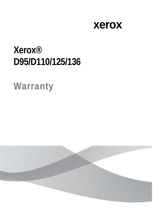### xerox

# **Xerox®** D95/D110/125/136

## Warranty

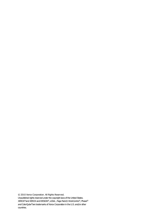© 2010 Xerox Corporation. All Rights Reserved. Unpublished rights reserved under the copyright laws of the United States. XEROX®and XEROX and DESIGN®, eClick , Page Pack® WorkCentre®, Phasei® and ColorQube®are trademarks of Xerox Corporation in the U.S. and/or other countries.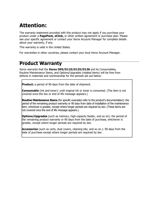#### **Attention:**

The warranty statement provided with this product may not apply if you purchase your product under a **PagePack, eClick,** or other written agreement or purchase plan. Please see your specific agreement or contact your Xerox Account Manager for complete details about your warranty, if any.

This warranty is valid in the United States.

For warranties in other countries, please contact your local Xerox Account Manager.

#### **Product Warranty**

Xerox warrants that the **Xerox D95/D110/D125/D136** and its Consumables, Routine Maintenance Items, and Options/Upgrades (related items) will be free from defects in materials and workmanship for the periods set out below:

**Product:** a period of 90 days from the date of shipment.

**Consumable** (ink and toner): until original ink or toner is consumed. (The item is not covered once the low or end of life message appears.)

**Routine Maintenance Items** (for specific examples refer to the product's documentation): the period of the remaining product warranty or 90 days from date of installation of the maintenance item, whichever is greater, except where longer periods are required by law. (These items are not covered once the end of life message appears.)

**Options/Upgrades** (such as memory, high-capacity feeder, and so on): the period of the remaining product warranty or 90 days from the date of purchase, whichever is greater, except where longer periods are required by law.

**Accessories** (such as carts, dust covers, cleaning kits, and so on.): 90 days from the date of purchase except where longer periods are required by law.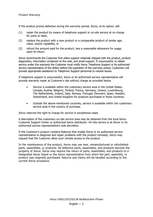If the product proves defective during the warranty period, Xerox, at its option, will:

- (1) repair the product by means of telephone support or on-site service at no charge for parts or labor,
- (2) replace the product with a new product or a comparable product of similar age, value, and/or capability, or
- (3) refund the amount paid for the product, less a reasonable allowance for usage, upon its return.

Xerox recommends the Customer first utilize support materials shipped with the product, product diagnostics, information contained on the web, and email support. If unsuccessful, to obtain service under this warranty the Customer must notify Xerox Telephone Support or its authorized service representative of the defect before the expiration of the warranty period. Customers will provide appropriate assistance to Telephone Support personnel to resolve issues.

If telephone support is unsuccessful, Xerox or its authorized service representative will provide warranty repair at Customer's site without charge as provided below.

- Service is available within the customary service area in the United States, Canada, Austria, Belgium, Finland, France, Germany, Greece, Luxembourg, The Netherlands, Ireland, Italy, Norway, Portugal, Denmark, Spain, Sweden, Switzerland, and United Kingdom for products purchased in these countries.
- Outside the above-mentioned countries, service is available within the customary service area in the country of purchase.

Xerox reserves the right to charge for service in exceptional cases.

A description of the customary on-site service area may be obtained from the local Xerox Customer Support Center or authorized Xerox distributor. On-site service is at Xerox' or its authorized service representative's sole discretion.

If the Customer's product contains features that enable Xerox or its authorized service representative to diagnose and repair problems with the product remotely, Xerox may request that the Customer allow such remote access to the product.

In the maintenance of the product, Xerox may use new, remanufactured or refurbished parts, assemblies, or products. All defective parts, assemblies, and products become the property of Xerox. Xerox may require the return of parts, assemblies, and products to a designated Xerox Depot or the Xerox representative from which the part, assembly, or product was originally purchased. Returns and claims will be handled according to the current Xerox procedure.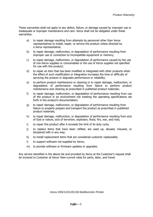These warranties shall not apply to any defect, failure, or damage caused by improper use or inadequate or improper maintenance and care. Xerox shall not be obligated under these warranties:

- a) to repair damage resulting from attempts by personnel other than Xerox representatives to install, repair, or service the product unless directed by a Xerox representative;
- b) to repair damage, malfunction, or degradation of performance resulting from improper use or connection to incompatible equipment or memory;
- c) to repair damage, malfunction, or degradation of performance caused by the use of non-Xerox supplies or consumables or the use of Xerox supplies not specified for use with this product;
- d) to repair an item that has been modified or integrated with other products when the effect of such modification or integration increases the time or difficulty of servicing the product or degrades performance or reliability;
- e) to perform product maintenance or cleaning or to repair damage, malfunction, or degradation of performance resulting from failure to perform product maintenance and cleaning as prescribed in published product materials;
- f) to repair damage, malfunction, or degradation of performance resulting from use of the product in an environment not meeting the operating specifications set forth in the product's documentation;
- g) to repair damage, malfunction, or degradation of performance resulting from failure to properly prepare and transport the product as prescribed in published product materials;
- h) to repair damage, malfunction, or degradation of performance resulting from acts of God or nature, acts of terrorism, explosion, flood, fire, war, and riots;
- i) to repair this product after it exceeds the limit of its duty cycle;
- j) to replace items that have been refilled, are used up, abused, misused, or tampered with in any way;
- k) to install replacement items that are considered customer replaceable;
- l) to support software not supplied by Xerox;
- m) to provide software or firmware updates or upgrades.

Any service identified in the above list and provided by Xerox at the Customer's request shall be invoiced to Customer at Xerox' then-current rates for parts, labor, and travel.

*Xerox D95/110/125/136 Multifunction Printer*